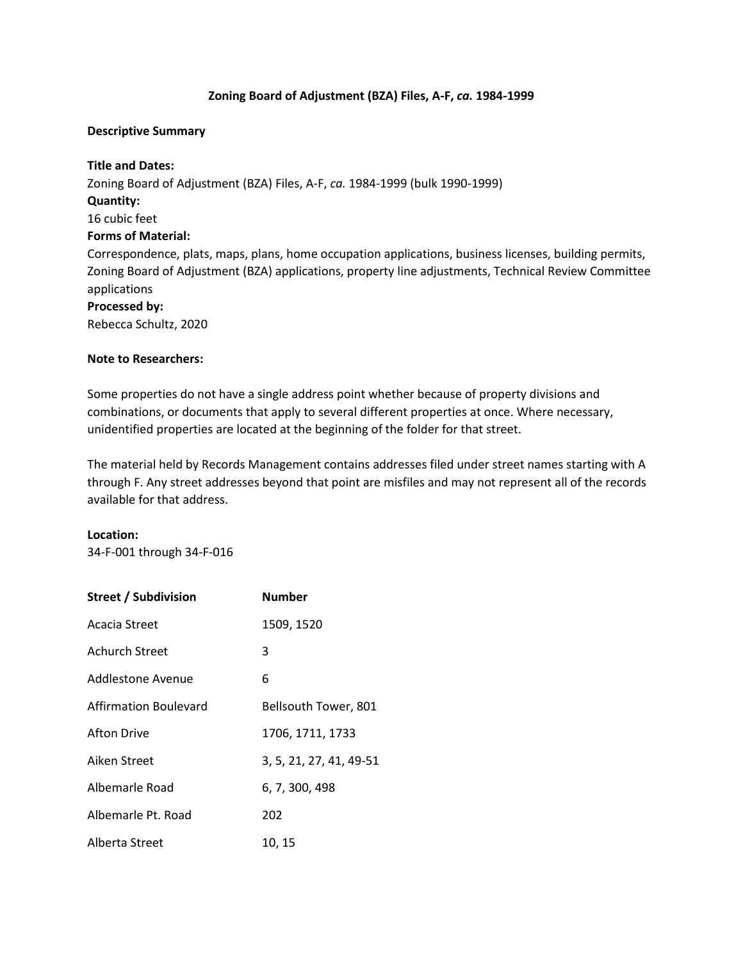## **Zoning Board of Adjustment (BZA) Files, A-F,** *ca.* **1984-1999**

## **Descriptive Summary**

**Title and Dates:** Zoning Board of Adjustment (BZA) Files, A-F, *ca.* 1984-1999 (bulk 1990-1999) **Quantity:**  16 cubic feet **Forms of Material:** Correspondence, plats, maps, plans, home occupation applications, business licenses, building permits, Zoning Board of Adjustment (BZA) applications, property line adjustments, Technical Review Committee applications

**Processed by:** Rebecca Schultz, 2020

## **Note to Researchers:**

Some properties do not have a single address point whether because of property divisions and combinations, or documents that apply to several different properties at once. Where necessary, unidentified properties are located at the beginning of the folder for that street.

The material held by Records Management contains addresses filed under street names starting with A through F. Any street addresses beyond that point are misfiles and may not represent all of the records available for that address.

## **Location:**

34-F-001 through 34-F-016

| <b>Street / Subdivision</b> | <b>Number</b>           |
|-----------------------------|-------------------------|
| Acacia Street               | 1509, 1520              |
| Achurch Street              | 3                       |
| Addlestone Avenue           | 6                       |
| Affirmation Boulevard       | Bellsouth Tower, 801    |
| Afton Drive                 | 1706, 1711, 1733        |
| Aiken Street                | 3, 5, 21, 27, 41, 49-51 |
| Albemarle Road              | 6, 7, 300, 498          |
| Albemarle Pt. Road          | 202                     |
| Alberta Street              | 10, 15                  |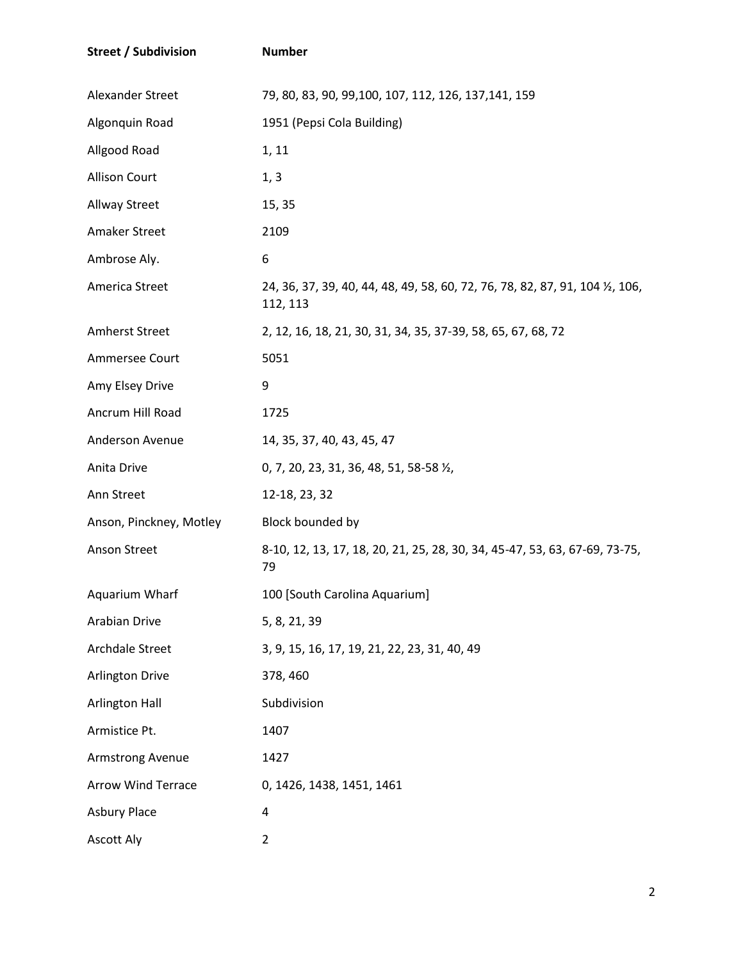| <b>Street / Subdivision</b> | <b>Number</b>                                                                             |
|-----------------------------|-------------------------------------------------------------------------------------------|
| Alexander Street            | 79, 80, 83, 90, 99, 100, 107, 112, 126, 137, 141, 159                                     |
| Algonquin Road              | 1951 (Pepsi Cola Building)                                                                |
| Allgood Road                | 1, 11                                                                                     |
| <b>Allison Court</b>        | 1, 3                                                                                      |
| Allway Street               | 15, 35                                                                                    |
| Amaker Street               | 2109                                                                                      |
| Ambrose Aly.                | 6                                                                                         |
| America Street              | 24, 36, 37, 39, 40, 44, 48, 49, 58, 60, 72, 76, 78, 82, 87, 91, 104 1/2, 106,<br>112, 113 |
| Amherst Street              | 2, 12, 16, 18, 21, 30, 31, 34, 35, 37-39, 58, 65, 67, 68, 72                              |
| Ammersee Court              | 5051                                                                                      |
| Amy Elsey Drive             | 9                                                                                         |
| Ancrum Hill Road            | 1725                                                                                      |
| Anderson Avenue             | 14, 35, 37, 40, 43, 45, 47                                                                |
| Anita Drive                 | 0, 7, 20, 23, 31, 36, 48, 51, 58-58 1/2,                                                  |
| Ann Street                  | 12-18, 23, 32                                                                             |
| Anson, Pinckney, Motley     | Block bounded by                                                                          |
| <b>Anson Street</b>         | 8-10, 12, 13, 17, 18, 20, 21, 25, 28, 30, 34, 45-47, 53, 63, 67-69, 73-75,<br>79          |
| Aquarium Wharf              | 100 [South Carolina Aquarium]                                                             |
| Arabian Drive               | 5, 8, 21, 39                                                                              |
| Archdale Street             | 3, 9, 15, 16, 17, 19, 21, 22, 23, 31, 40, 49                                              |
| <b>Arlington Drive</b>      | 378, 460                                                                                  |
| <b>Arlington Hall</b>       | Subdivision                                                                               |
| Armistice Pt.               | 1407                                                                                      |
| Armstrong Avenue            | 1427                                                                                      |
| <b>Arrow Wind Terrace</b>   | 0, 1426, 1438, 1451, 1461                                                                 |
| <b>Asbury Place</b>         | 4                                                                                         |
| <b>Ascott Aly</b>           | $\overline{2}$                                                                            |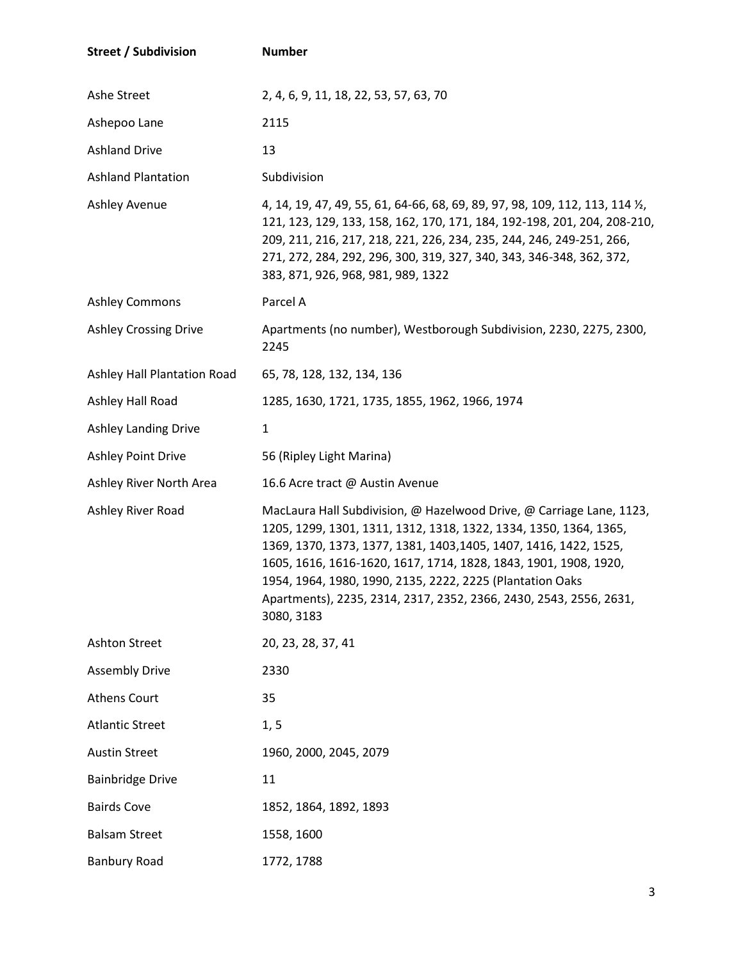| <b>Street / Subdivision</b>  | <b>Number</b>                                                                                                                                                                                                                                                                                                                                                                                                                       |
|------------------------------|-------------------------------------------------------------------------------------------------------------------------------------------------------------------------------------------------------------------------------------------------------------------------------------------------------------------------------------------------------------------------------------------------------------------------------------|
| Ashe Street                  | 2, 4, 6, 9, 11, 18, 22, 53, 57, 63, 70                                                                                                                                                                                                                                                                                                                                                                                              |
| Ashepoo Lane                 | 2115                                                                                                                                                                                                                                                                                                                                                                                                                                |
| <b>Ashland Drive</b>         | 13                                                                                                                                                                                                                                                                                                                                                                                                                                  |
| <b>Ashland Plantation</b>    | Subdivision                                                                                                                                                                                                                                                                                                                                                                                                                         |
| Ashley Avenue                | 4, 14, 19, 47, 49, 55, 61, 64-66, 68, 69, 89, 97, 98, 109, 112, 113, 114 $\frac{1}{2}$ ,<br>121, 123, 129, 133, 158, 162, 170, 171, 184, 192-198, 201, 204, 208-210,<br>209, 211, 216, 217, 218, 221, 226, 234, 235, 244, 246, 249-251, 266,<br>271, 272, 284, 292, 296, 300, 319, 327, 340, 343, 346-348, 362, 372,<br>383, 871, 926, 968, 981, 989, 1322                                                                          |
| <b>Ashley Commons</b>        | Parcel A                                                                                                                                                                                                                                                                                                                                                                                                                            |
| <b>Ashley Crossing Drive</b> | Apartments (no number), Westborough Subdivision, 2230, 2275, 2300,<br>2245                                                                                                                                                                                                                                                                                                                                                          |
| Ashley Hall Plantation Road  | 65, 78, 128, 132, 134, 136                                                                                                                                                                                                                                                                                                                                                                                                          |
| Ashley Hall Road             | 1285, 1630, 1721, 1735, 1855, 1962, 1966, 1974                                                                                                                                                                                                                                                                                                                                                                                      |
| <b>Ashley Landing Drive</b>  | 1                                                                                                                                                                                                                                                                                                                                                                                                                                   |
| <b>Ashley Point Drive</b>    | 56 (Ripley Light Marina)                                                                                                                                                                                                                                                                                                                                                                                                            |
| Ashley River North Area      | 16.6 Acre tract @ Austin Avenue                                                                                                                                                                                                                                                                                                                                                                                                     |
| Ashley River Road            | MacLaura Hall Subdivision, @ Hazelwood Drive, @ Carriage Lane, 1123,<br>1205, 1299, 1301, 1311, 1312, 1318, 1322, 1334, 1350, 1364, 1365,<br>1369, 1370, 1373, 1377, 1381, 1403, 1405, 1407, 1416, 1422, 1525,<br>1605, 1616, 1616-1620, 1617, 1714, 1828, 1843, 1901, 1908, 1920,<br>1954, 1964, 1980, 1990, 2135, 2222, 2225 (Plantation Oaks<br>Apartments), 2235, 2314, 2317, 2352, 2366, 2430, 2543, 2556, 2631,<br>3080, 3183 |
| Ashton Street                | 20, 23, 28, 37, 41                                                                                                                                                                                                                                                                                                                                                                                                                  |
| <b>Assembly Drive</b>        | 2330                                                                                                                                                                                                                                                                                                                                                                                                                                |
| <b>Athens Court</b>          | 35                                                                                                                                                                                                                                                                                                                                                                                                                                  |
| <b>Atlantic Street</b>       | 1, 5                                                                                                                                                                                                                                                                                                                                                                                                                                |
| <b>Austin Street</b>         | 1960, 2000, 2045, 2079                                                                                                                                                                                                                                                                                                                                                                                                              |
| <b>Bainbridge Drive</b>      | 11                                                                                                                                                                                                                                                                                                                                                                                                                                  |
| <b>Bairds Cove</b>           | 1852, 1864, 1892, 1893                                                                                                                                                                                                                                                                                                                                                                                                              |
| <b>Balsam Street</b>         | 1558, 1600                                                                                                                                                                                                                                                                                                                                                                                                                          |
| <b>Banbury Road</b>          | 1772, 1788                                                                                                                                                                                                                                                                                                                                                                                                                          |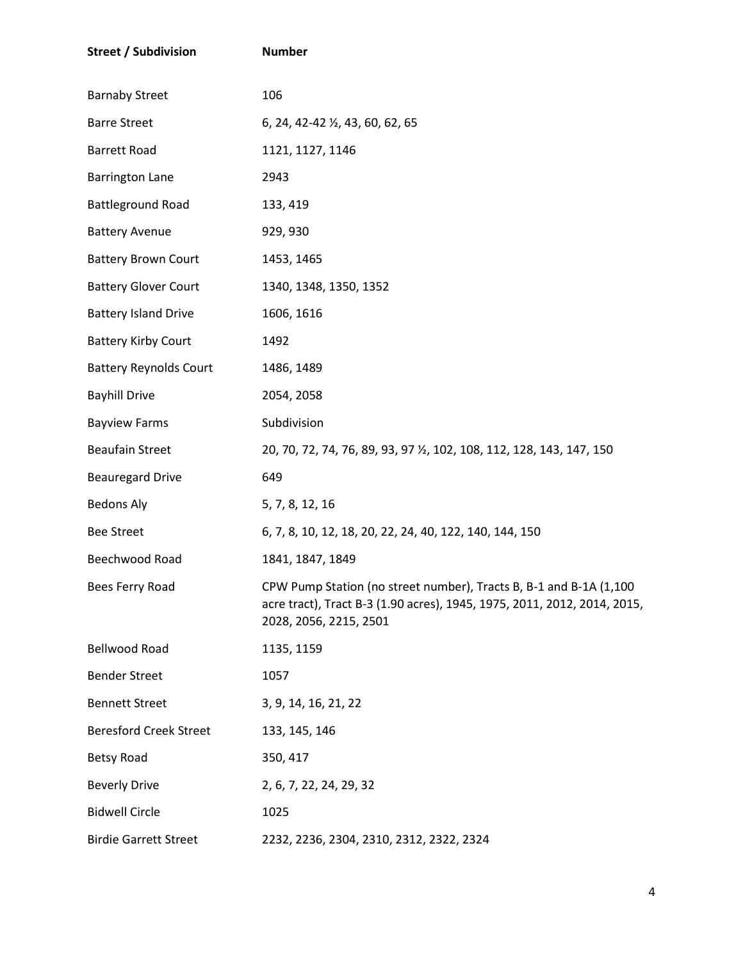| <b>Street / Subdivision</b>   | <b>Number</b>                                                                                                                                                            |
|-------------------------------|--------------------------------------------------------------------------------------------------------------------------------------------------------------------------|
| <b>Barnaby Street</b>         | 106                                                                                                                                                                      |
| <b>Barre Street</b>           | 6, 24, 42-42 1/2, 43, 60, 62, 65                                                                                                                                         |
| <b>Barrett Road</b>           | 1121, 1127, 1146                                                                                                                                                         |
| <b>Barrington Lane</b>        | 2943                                                                                                                                                                     |
| <b>Battleground Road</b>      | 133, 419                                                                                                                                                                 |
| <b>Battery Avenue</b>         | 929, 930                                                                                                                                                                 |
| <b>Battery Brown Court</b>    | 1453, 1465                                                                                                                                                               |
| <b>Battery Glover Court</b>   | 1340, 1348, 1350, 1352                                                                                                                                                   |
| <b>Battery Island Drive</b>   | 1606, 1616                                                                                                                                                               |
| <b>Battery Kirby Court</b>    | 1492                                                                                                                                                                     |
| <b>Battery Reynolds Court</b> | 1486, 1489                                                                                                                                                               |
| <b>Bayhill Drive</b>          | 2054, 2058                                                                                                                                                               |
| <b>Bayview Farms</b>          | Subdivision                                                                                                                                                              |
| <b>Beaufain Street</b>        | 20, 70, 72, 74, 76, 89, 93, 97 1/2, 102, 108, 112, 128, 143, 147, 150                                                                                                    |
| <b>Beauregard Drive</b>       | 649                                                                                                                                                                      |
| <b>Bedons Aly</b>             | 5, 7, 8, 12, 16                                                                                                                                                          |
| <b>Bee Street</b>             | 6, 7, 8, 10, 12, 18, 20, 22, 24, 40, 122, 140, 144, 150                                                                                                                  |
| Beechwood Road                | 1841, 1847, 1849                                                                                                                                                         |
| Bees Ferry Road               | CPW Pump Station (no street number), Tracts B, B-1 and B-1A (1,100<br>acre tract), Tract B-3 (1.90 acres), 1945, 1975, 2011, 2012, 2014, 2015,<br>2028, 2056, 2215, 2501 |
| <b>Bellwood Road</b>          | 1135, 1159                                                                                                                                                               |
| <b>Bender Street</b>          | 1057                                                                                                                                                                     |
| <b>Bennett Street</b>         | 3, 9, 14, 16, 21, 22                                                                                                                                                     |
| <b>Beresford Creek Street</b> | 133, 145, 146                                                                                                                                                            |
| <b>Betsy Road</b>             | 350, 417                                                                                                                                                                 |
| <b>Beverly Drive</b>          | 2, 6, 7, 22, 24, 29, 32                                                                                                                                                  |
| <b>Bidwell Circle</b>         | 1025                                                                                                                                                                     |
| <b>Birdie Garrett Street</b>  | 2232, 2236, 2304, 2310, 2312, 2322, 2324                                                                                                                                 |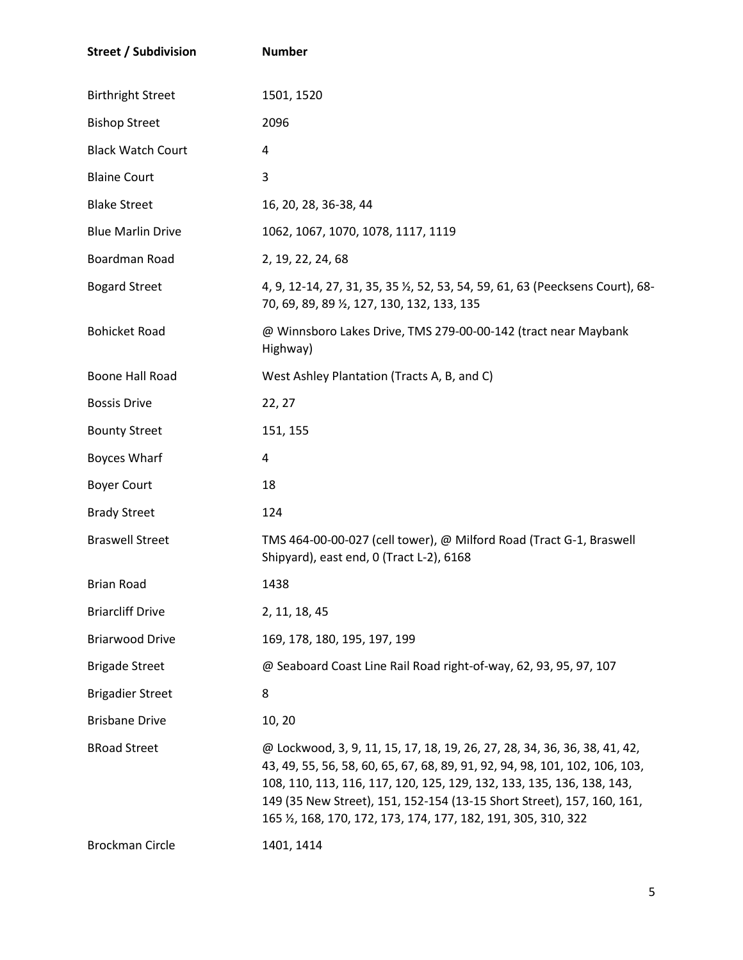| <b>Street / Subdivision</b> | <b>Number</b>                                                                                                                                                                                                                                                                                                                                                               |
|-----------------------------|-----------------------------------------------------------------------------------------------------------------------------------------------------------------------------------------------------------------------------------------------------------------------------------------------------------------------------------------------------------------------------|
| <b>Birthright Street</b>    | 1501, 1520                                                                                                                                                                                                                                                                                                                                                                  |
| <b>Bishop Street</b>        | 2096                                                                                                                                                                                                                                                                                                                                                                        |
| <b>Black Watch Court</b>    | 4                                                                                                                                                                                                                                                                                                                                                                           |
| <b>Blaine Court</b>         | 3                                                                                                                                                                                                                                                                                                                                                                           |
| <b>Blake Street</b>         | 16, 20, 28, 36-38, 44                                                                                                                                                                                                                                                                                                                                                       |
| <b>Blue Marlin Drive</b>    | 1062, 1067, 1070, 1078, 1117, 1119                                                                                                                                                                                                                                                                                                                                          |
| Boardman Road               | 2, 19, 22, 24, 68                                                                                                                                                                                                                                                                                                                                                           |
| <b>Bogard Street</b>        | 4, 9, 12-14, 27, 31, 35, 35 1/2, 52, 53, 54, 59, 61, 63 (Peecksens Court), 68-<br>70, 69, 89, 89 1/2, 127, 130, 132, 133, 135                                                                                                                                                                                                                                               |
| <b>Bohicket Road</b>        | @ Winnsboro Lakes Drive, TMS 279-00-00-142 (tract near Maybank<br>Highway)                                                                                                                                                                                                                                                                                                  |
| Boone Hall Road             | West Ashley Plantation (Tracts A, B, and C)                                                                                                                                                                                                                                                                                                                                 |
| <b>Bossis Drive</b>         | 22, 27                                                                                                                                                                                                                                                                                                                                                                      |
| <b>Bounty Street</b>        | 151, 155                                                                                                                                                                                                                                                                                                                                                                    |
| <b>Boyces Wharf</b>         | 4                                                                                                                                                                                                                                                                                                                                                                           |
| <b>Boyer Court</b>          | 18                                                                                                                                                                                                                                                                                                                                                                          |
| <b>Brady Street</b>         | 124                                                                                                                                                                                                                                                                                                                                                                         |
| <b>Braswell Street</b>      | TMS 464-00-00-027 (cell tower), @ Milford Road (Tract G-1, Braswell<br>Shipyard), east end, 0 (Tract L-2), 6168                                                                                                                                                                                                                                                             |
| <b>Brian Road</b>           | 1438                                                                                                                                                                                                                                                                                                                                                                        |
| <b>Briarcliff Drive</b>     | 2, 11, 18, 45                                                                                                                                                                                                                                                                                                                                                               |
| <b>Briarwood Drive</b>      | 169, 178, 180, 195, 197, 199                                                                                                                                                                                                                                                                                                                                                |
| <b>Brigade Street</b>       | @ Seaboard Coast Line Rail Road right-of-way, 62, 93, 95, 97, 107                                                                                                                                                                                                                                                                                                           |
| <b>Brigadier Street</b>     | 8                                                                                                                                                                                                                                                                                                                                                                           |
| <b>Brisbane Drive</b>       | 10, 20                                                                                                                                                                                                                                                                                                                                                                      |
| <b>BRoad Street</b>         | @ Lockwood, 3, 9, 11, 15, 17, 18, 19, 26, 27, 28, 34, 36, 36, 38, 41, 42,<br>43, 49, 55, 56, 58, 60, 65, 67, 68, 89, 91, 92, 94, 98, 101, 102, 106, 103,<br>108, 110, 113, 116, 117, 120, 125, 129, 132, 133, 135, 136, 138, 143,<br>149 (35 New Street), 151, 152-154 (13-15 Short Street), 157, 160, 161,<br>165 %, 168, 170, 172, 173, 174, 177, 182, 191, 305, 310, 322 |
| <b>Brockman Circle</b>      | 1401, 1414                                                                                                                                                                                                                                                                                                                                                                  |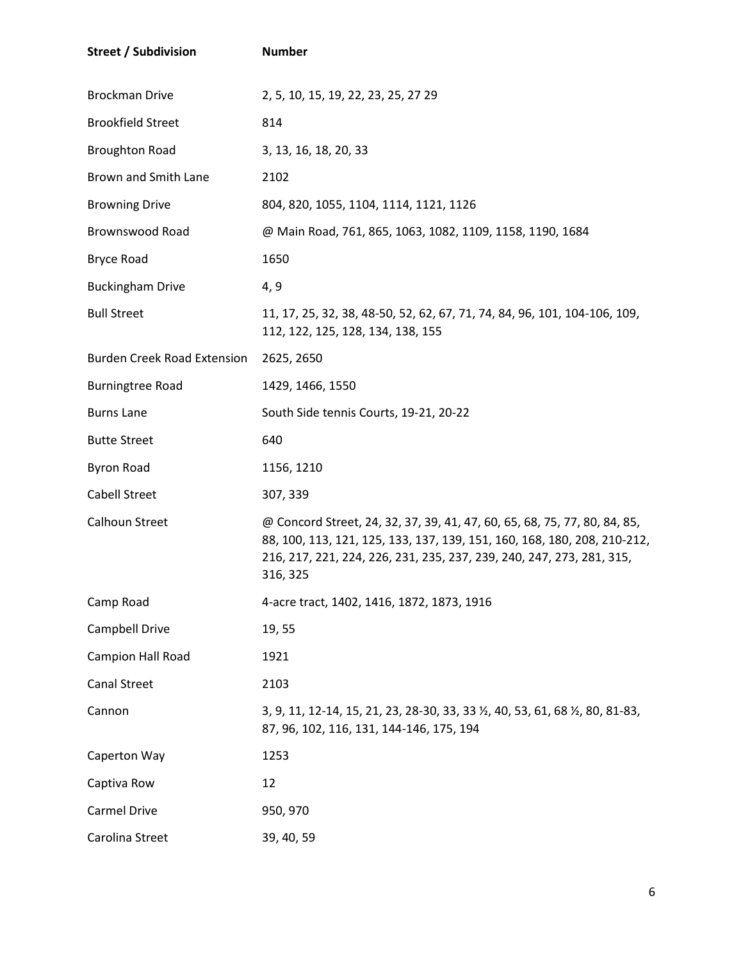| <b>Street / Subdivision</b>        | <b>Number</b>                                                                                                                                                                                                                              |
|------------------------------------|--------------------------------------------------------------------------------------------------------------------------------------------------------------------------------------------------------------------------------------------|
| <b>Brockman Drive</b>              | 2, 5, 10, 15, 19, 22, 23, 25, 27 29                                                                                                                                                                                                        |
| <b>Brookfield Street</b>           | 814                                                                                                                                                                                                                                        |
| <b>Broughton Road</b>              | 3, 13, 16, 18, 20, 33                                                                                                                                                                                                                      |
| Brown and Smith Lane               | 2102                                                                                                                                                                                                                                       |
| <b>Browning Drive</b>              | 804, 820, 1055, 1104, 1114, 1121, 1126                                                                                                                                                                                                     |
| <b>Brownswood Road</b>             | @ Main Road, 761, 865, 1063, 1082, 1109, 1158, 1190, 1684                                                                                                                                                                                  |
| <b>Bryce Road</b>                  | 1650                                                                                                                                                                                                                                       |
| <b>Buckingham Drive</b>            | 4, 9                                                                                                                                                                                                                                       |
| <b>Bull Street</b>                 | 11, 17, 25, 32, 38, 48-50, 52, 62, 67, 71, 74, 84, 96, 101, 104-106, 109,<br>112, 122, 125, 128, 134, 138, 155                                                                                                                             |
| <b>Burden Creek Road Extension</b> | 2625, 2650                                                                                                                                                                                                                                 |
| <b>Burningtree Road</b>            | 1429, 1466, 1550                                                                                                                                                                                                                           |
| <b>Burns Lane</b>                  | South Side tennis Courts, 19-21, 20-22                                                                                                                                                                                                     |
| <b>Butte Street</b>                | 640                                                                                                                                                                                                                                        |
| <b>Byron Road</b>                  | 1156, 1210                                                                                                                                                                                                                                 |
| <b>Cabell Street</b>               | 307, 339                                                                                                                                                                                                                                   |
| Calhoun Street                     | @ Concord Street, 24, 32, 37, 39, 41, 47, 60, 65, 68, 75, 77, 80, 84, 85,<br>88, 100, 113, 121, 125, 133, 137, 139, 151, 160, 168, 180, 208, 210-212,<br>216, 217, 221, 224, 226, 231, 235, 237, 239, 240, 247, 273, 281, 315,<br>316, 325 |
| Camp Road                          | 4-acre tract, 1402, 1416, 1872, 1873, 1916                                                                                                                                                                                                 |
| Campbell Drive                     | 19,55                                                                                                                                                                                                                                      |
| Campion Hall Road                  | 1921                                                                                                                                                                                                                                       |
| <b>Canal Street</b>                | 2103                                                                                                                                                                                                                                       |
| Cannon                             | 3, 9, 11, 12-14, 15, 21, 23, 28-30, 33, 33 1/2, 40, 53, 61, 68 1/2, 80, 81-83,<br>87, 96, 102, 116, 131, 144-146, 175, 194                                                                                                                 |
| Caperton Way                       | 1253                                                                                                                                                                                                                                       |
| Captiva Row                        | 12                                                                                                                                                                                                                                         |
| Carmel Drive                       | 950, 970                                                                                                                                                                                                                                   |
| Carolina Street                    | 39, 40, 59                                                                                                                                                                                                                                 |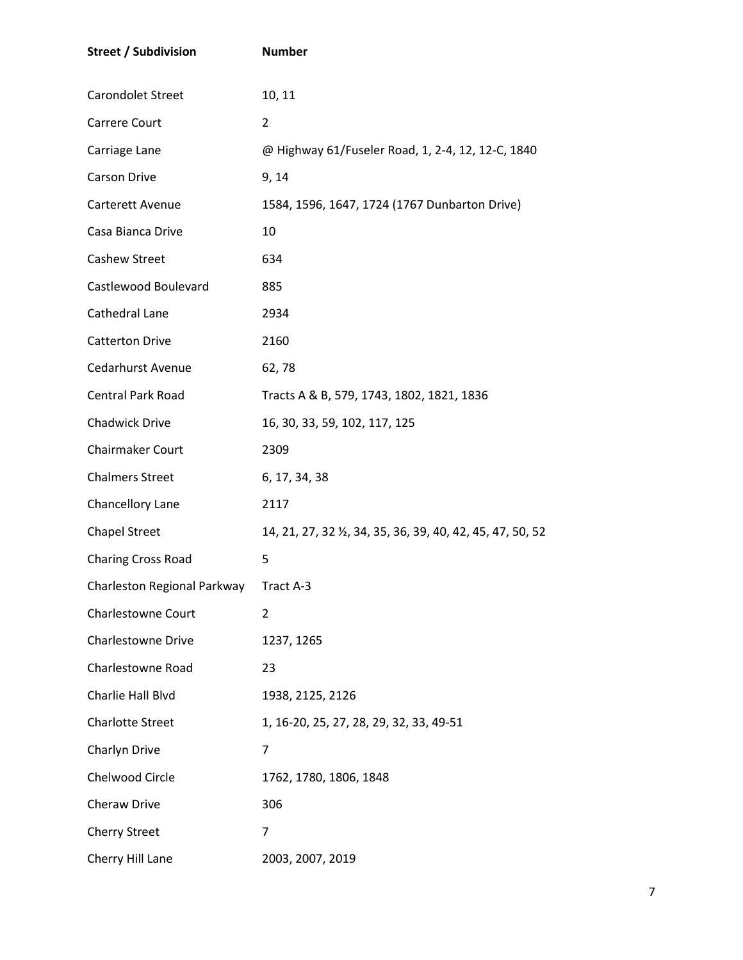| <b>Street / Subdivision</b>           | <b>Number</b>                                              |
|---------------------------------------|------------------------------------------------------------|
| Carondolet Street                     | 10, 11                                                     |
| Carrere Court                         | 2                                                          |
| Carriage Lane                         | @ Highway 61/Fuseler Road, 1, 2-4, 12, 12-C, 1840          |
| <b>Carson Drive</b>                   | 9, 14                                                      |
| Carterett Avenue                      | 1584, 1596, 1647, 1724 (1767 Dunbarton Drive)              |
| Casa Bianca Drive                     | 10                                                         |
| <b>Cashew Street</b>                  | 634                                                        |
| Castlewood Boulevard                  | 885                                                        |
| Cathedral Lane                        | 2934                                                       |
| <b>Catterton Drive</b>                | 2160                                                       |
| Cedarhurst Avenue                     | 62,78                                                      |
| Central Park Road                     | Tracts A & B, 579, 1743, 1802, 1821, 1836                  |
| <b>Chadwick Drive</b>                 | 16, 30, 33, 59, 102, 117, 125                              |
| Chairmaker Court                      | 2309                                                       |
| <b>Chalmers Street</b>                | 6, 17, 34, 38                                              |
| Chancellory Lane                      | 2117                                                       |
| <b>Chapel Street</b>                  | 14, 21, 27, 32 1/2, 34, 35, 36, 39, 40, 42, 45, 47, 50, 52 |
| <b>Charing Cross Road</b>             | 5                                                          |
| Charleston Regional Parkway Tract A-3 |                                                            |
| <b>Charlestowne Court</b>             | 2                                                          |
| <b>Charlestowne Drive</b>             | 1237, 1265                                                 |
| Charlestowne Road                     | 23                                                         |
| Charlie Hall Blvd                     | 1938, 2125, 2126                                           |
| <b>Charlotte Street</b>               | 1, 16-20, 25, 27, 28, 29, 32, 33, 49-51                    |
| Charlyn Drive                         | 7                                                          |
| Chelwood Circle                       | 1762, 1780, 1806, 1848                                     |
| Cheraw Drive                          | 306                                                        |
| <b>Cherry Street</b>                  | 7                                                          |
| Cherry Hill Lane                      | 2003, 2007, 2019                                           |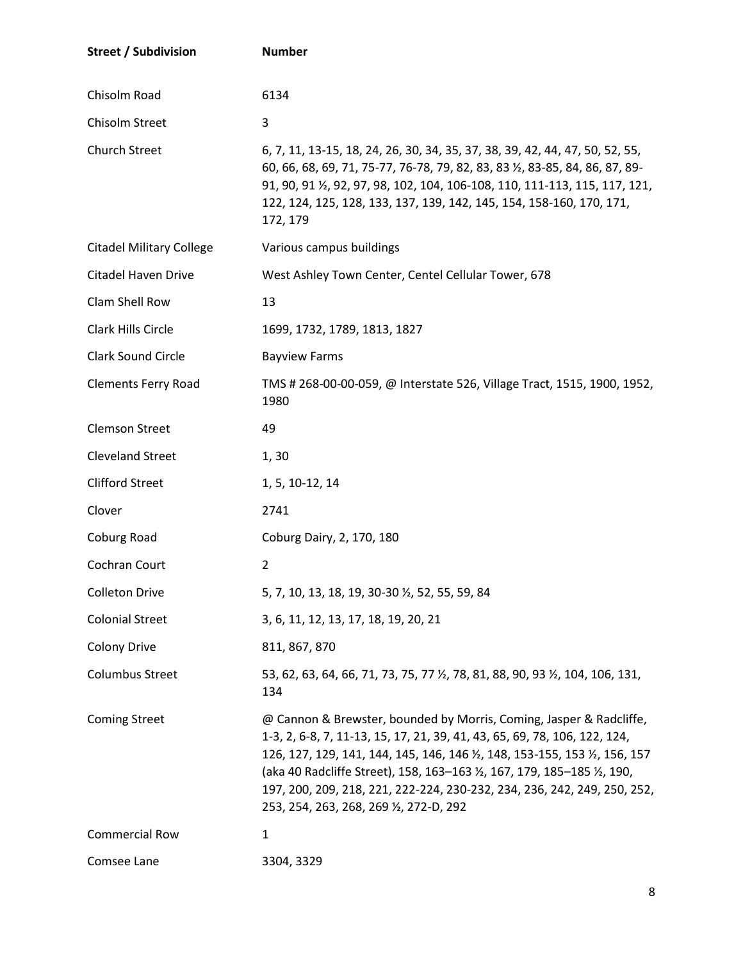| <b>Street / Subdivision</b>     | <b>Number</b>                                                                                                                                                                                                                                                                                                                                                                                                                                            |
|---------------------------------|----------------------------------------------------------------------------------------------------------------------------------------------------------------------------------------------------------------------------------------------------------------------------------------------------------------------------------------------------------------------------------------------------------------------------------------------------------|
| Chisolm Road                    | 6134                                                                                                                                                                                                                                                                                                                                                                                                                                                     |
| Chisolm Street                  | 3                                                                                                                                                                                                                                                                                                                                                                                                                                                        |
| <b>Church Street</b>            | 6, 7, 11, 13-15, 18, 24, 26, 30, 34, 35, 37, 38, 39, 42, 44, 47, 50, 52, 55,<br>60, 66, 68, 69, 71, 75-77, 76-78, 79, 82, 83, 83 1/2, 83-85, 84, 86, 87, 89-<br>91, 90, 91 1/2, 92, 97, 98, 102, 104, 106-108, 110, 111-113, 115, 117, 121,<br>122, 124, 125, 128, 133, 137, 139, 142, 145, 154, 158-160, 170, 171,<br>172, 179                                                                                                                          |
| <b>Citadel Military College</b> | Various campus buildings                                                                                                                                                                                                                                                                                                                                                                                                                                 |
| <b>Citadel Haven Drive</b>      | West Ashley Town Center, Centel Cellular Tower, 678                                                                                                                                                                                                                                                                                                                                                                                                      |
| Clam Shell Row                  | 13                                                                                                                                                                                                                                                                                                                                                                                                                                                       |
| Clark Hills Circle              | 1699, 1732, 1789, 1813, 1827                                                                                                                                                                                                                                                                                                                                                                                                                             |
| <b>Clark Sound Circle</b>       | <b>Bayview Farms</b>                                                                                                                                                                                                                                                                                                                                                                                                                                     |
| <b>Clements Ferry Road</b>      | TMS # 268-00-00-059, @ Interstate 526, Village Tract, 1515, 1900, 1952,<br>1980                                                                                                                                                                                                                                                                                                                                                                          |
| <b>Clemson Street</b>           | 49                                                                                                                                                                                                                                                                                                                                                                                                                                                       |
| <b>Cleveland Street</b>         | 1, 30                                                                                                                                                                                                                                                                                                                                                                                                                                                    |
| <b>Clifford Street</b>          | 1, 5, 10-12, 14                                                                                                                                                                                                                                                                                                                                                                                                                                          |
| Clover                          | 2741                                                                                                                                                                                                                                                                                                                                                                                                                                                     |
| Coburg Road                     | Coburg Dairy, 2, 170, 180                                                                                                                                                                                                                                                                                                                                                                                                                                |
| Cochran Court                   | 2                                                                                                                                                                                                                                                                                                                                                                                                                                                        |
| <b>Colleton Drive</b>           | 5, 7, 10, 13, 18, 19, 30-30 1/2, 52, 55, 59, 84                                                                                                                                                                                                                                                                                                                                                                                                          |
| <b>Colonial Street</b>          | 3, 6, 11, 12, 13, 17, 18, 19, 20, 21                                                                                                                                                                                                                                                                                                                                                                                                                     |
| Colony Drive                    | 811, 867, 870                                                                                                                                                                                                                                                                                                                                                                                                                                            |
| <b>Columbus Street</b>          | 53, 62, 63, 64, 66, 71, 73, 75, 77 1/2, 78, 81, 88, 90, 93 1/2, 104, 106, 131,<br>134                                                                                                                                                                                                                                                                                                                                                                    |
| <b>Coming Street</b>            | @ Cannon & Brewster, bounded by Morris, Coming, Jasper & Radcliffe,<br>1-3, 2, 6-8, 7, 11-13, 15, 17, 21, 39, 41, 43, 65, 69, 78, 106, 122, 124,<br>126, 127, 129, 141, 144, 145, 146, 146 $\frac{1}{2}$ , 148, 153-155, 153 $\frac{1}{2}$ , 156, 157<br>(aka 40 Radcliffe Street), 158, 163-163 1/2, 167, 179, 185-185 1/2, 190,<br>197, 200, 209, 218, 221, 222-224, 230-232, 234, 236, 242, 249, 250, 252,<br>253, 254, 263, 268, 269 1/2, 272-D, 292 |
| <b>Commercial Row</b>           | $\mathbf{1}$                                                                                                                                                                                                                                                                                                                                                                                                                                             |
| Comsee Lane                     | 3304, 3329                                                                                                                                                                                                                                                                                                                                                                                                                                               |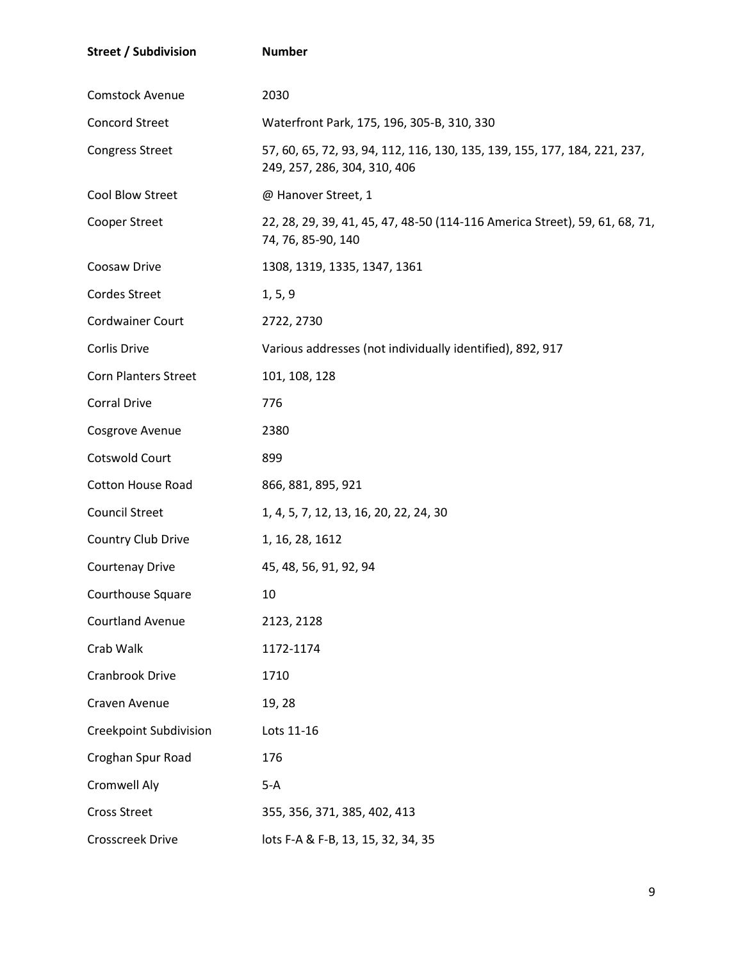| <b>Street / Subdivision</b>   | <b>Number</b>                                                                                             |
|-------------------------------|-----------------------------------------------------------------------------------------------------------|
| Comstock Avenue               | 2030                                                                                                      |
| <b>Concord Street</b>         | Waterfront Park, 175, 196, 305-B, 310, 330                                                                |
| <b>Congress Street</b>        | 57, 60, 65, 72, 93, 94, 112, 116, 130, 135, 139, 155, 177, 184, 221, 237,<br>249, 257, 286, 304, 310, 406 |
| Cool Blow Street              | @ Hanover Street, 1                                                                                       |
| Cooper Street                 | 22, 28, 29, 39, 41, 45, 47, 48-50 (114-116 America Street), 59, 61, 68, 71,<br>74, 76, 85-90, 140         |
| Coosaw Drive                  | 1308, 1319, 1335, 1347, 1361                                                                              |
| Cordes Street                 | 1, 5, 9                                                                                                   |
| <b>Cordwainer Court</b>       | 2722, 2730                                                                                                |
| Corlis Drive                  | Various addresses (not individually identified), 892, 917                                                 |
| <b>Corn Planters Street</b>   | 101, 108, 128                                                                                             |
| <b>Corral Drive</b>           | 776                                                                                                       |
| Cosgrove Avenue               | 2380                                                                                                      |
| Cotswold Court                | 899                                                                                                       |
| <b>Cotton House Road</b>      | 866, 881, 895, 921                                                                                        |
| <b>Council Street</b>         | 1, 4, 5, 7, 12, 13, 16, 20, 22, 24, 30                                                                    |
| Country Club Drive            | 1, 16, 28, 1612                                                                                           |
| <b>Courtenay Drive</b>        | 45, 48, 56, 91, 92, 94                                                                                    |
| Courthouse Square             | 10                                                                                                        |
| <b>Courtland Avenue</b>       | 2123, 2128                                                                                                |
| Crab Walk                     | 1172-1174                                                                                                 |
| Cranbrook Drive               | 1710                                                                                                      |
| Craven Avenue                 | 19, 28                                                                                                    |
| <b>Creekpoint Subdivision</b> | Lots 11-16                                                                                                |
| Croghan Spur Road             | 176                                                                                                       |
| Cromwell Aly                  | $5-A$                                                                                                     |
| <b>Cross Street</b>           | 355, 356, 371, 385, 402, 413                                                                              |
| <b>Crosscreek Drive</b>       | lots F-A & F-B, 13, 15, 32, 34, 35                                                                        |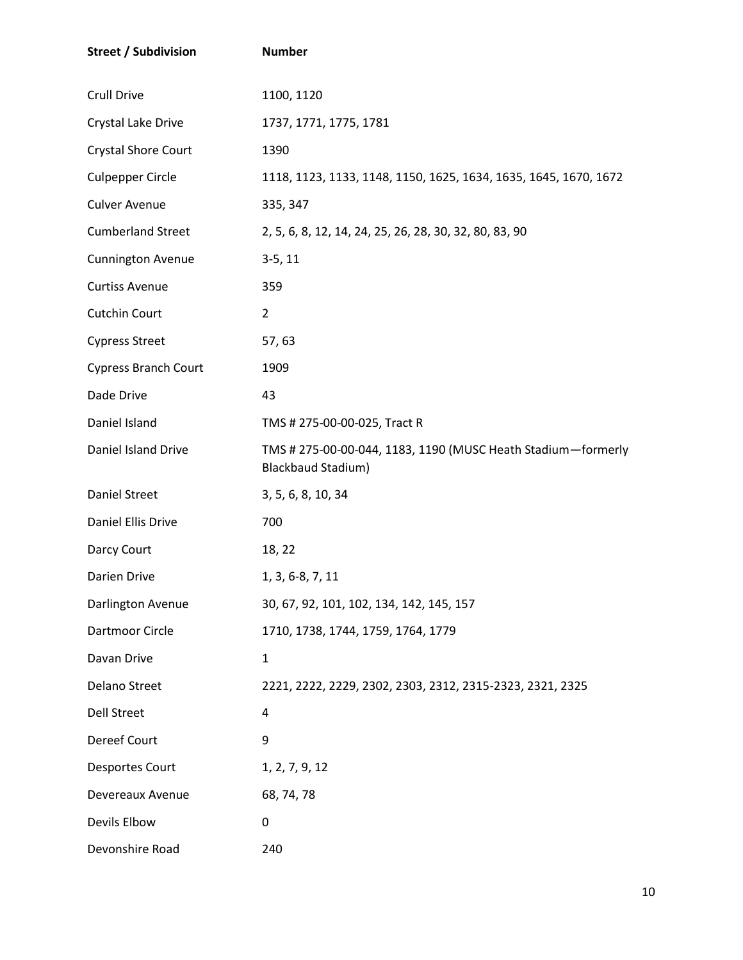| <b>Street / Subdivision</b> | <b>Number</b>                                                                             |
|-----------------------------|-------------------------------------------------------------------------------------------|
| Crull Drive                 | 1100, 1120                                                                                |
| Crystal Lake Drive          | 1737, 1771, 1775, 1781                                                                    |
| <b>Crystal Shore Court</b>  | 1390                                                                                      |
| <b>Culpepper Circle</b>     | 1118, 1123, 1133, 1148, 1150, 1625, 1634, 1635, 1645, 1670, 1672                          |
| <b>Culver Avenue</b>        | 335, 347                                                                                  |
| <b>Cumberland Street</b>    | 2, 5, 6, 8, 12, 14, 24, 25, 26, 28, 30, 32, 80, 83, 90                                    |
| <b>Cunnington Avenue</b>    | $3-5, 11$                                                                                 |
| <b>Curtiss Avenue</b>       | 359                                                                                       |
| Cutchin Court               | $\overline{2}$                                                                            |
| <b>Cypress Street</b>       | 57,63                                                                                     |
| <b>Cypress Branch Court</b> | 1909                                                                                      |
| Dade Drive                  | 43                                                                                        |
| Daniel Island               | TMS # 275-00-00-025, Tract R                                                              |
| Daniel Island Drive         | TMS # 275-00-00-044, 1183, 1190 (MUSC Heath Stadium-formerly<br><b>Blackbaud Stadium)</b> |
| Daniel Street               | 3, 5, 6, 8, 10, 34                                                                        |
| Daniel Ellis Drive          | 700                                                                                       |
| Darcy Court                 | 18, 22                                                                                    |
| Darien Drive                | 1, 3, 6-8, 7, 11                                                                          |
| Darlington Avenue           | 30, 67, 92, 101, 102, 134, 142, 145, 157                                                  |
| Dartmoor Circle             | 1710, 1738, 1744, 1759, 1764, 1779                                                        |
| Davan Drive                 | $\mathbf{1}$                                                                              |
| <b>Delano Street</b>        | 2221, 2222, 2229, 2302, 2303, 2312, 2315-2323, 2321, 2325                                 |
| <b>Dell Street</b>          | 4                                                                                         |
| Dereef Court                | 9                                                                                         |
| Desportes Court             | 1, 2, 7, 9, 12                                                                            |
| Devereaux Avenue            | 68, 74, 78                                                                                |
| Devils Elbow                | 0                                                                                         |
| Devonshire Road             | 240                                                                                       |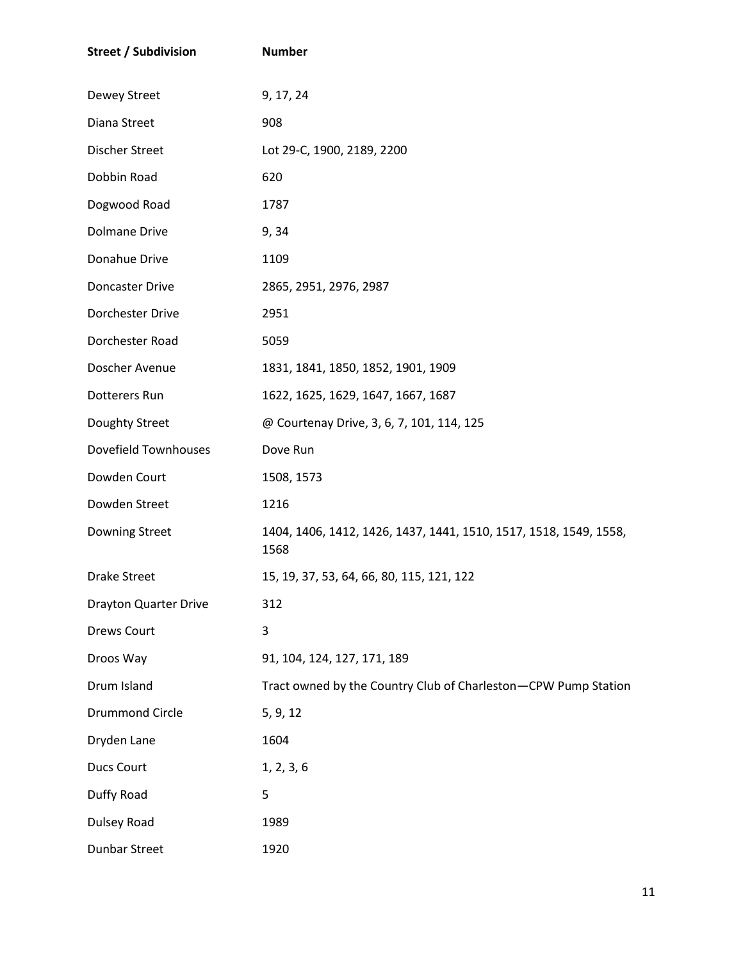| <b>Street / Subdivision</b> | <b>Number</b>                                                             |
|-----------------------------|---------------------------------------------------------------------------|
| Dewey Street                | 9, 17, 24                                                                 |
| Diana Street                | 908                                                                       |
| Discher Street              | Lot 29-C, 1900, 2189, 2200                                                |
| Dobbin Road                 | 620                                                                       |
| Dogwood Road                | 1787                                                                      |
| <b>Dolmane Drive</b>        | 9, 34                                                                     |
| Donahue Drive               | 1109                                                                      |
| Doncaster Drive             | 2865, 2951, 2976, 2987                                                    |
| Dorchester Drive            | 2951                                                                      |
| Dorchester Road             | 5059                                                                      |
| Doscher Avenue              | 1831, 1841, 1850, 1852, 1901, 1909                                        |
| Dotterers Run               | 1622, 1625, 1629, 1647, 1667, 1687                                        |
| Doughty Street              | @ Courtenay Drive, 3, 6, 7, 101, 114, 125                                 |
| Dovefield Townhouses        | Dove Run                                                                  |
| Dowden Court                | 1508, 1573                                                                |
| Dowden Street               | 1216                                                                      |
| Downing Street              | 1404, 1406, 1412, 1426, 1437, 1441, 1510, 1517, 1518, 1549, 1558,<br>1568 |
| <b>Drake Street</b>         | 15, 19, 37, 53, 64, 66, 80, 115, 121, 122                                 |
| Drayton Quarter Drive       | 312                                                                       |
| <b>Drews Court</b>          | 3                                                                         |
| Droos Way                   | 91, 104, 124, 127, 171, 189                                               |
| Drum Island                 | Tract owned by the Country Club of Charleston-CPW Pump Station            |
| <b>Drummond Circle</b>      | 5, 9, 12                                                                  |
| Dryden Lane                 | 1604                                                                      |
| <b>Ducs Court</b>           | 1, 2, 3, 6                                                                |
| Duffy Road                  | 5                                                                         |
| Dulsey Road                 | 1989                                                                      |
| <b>Dunbar Street</b>        | 1920                                                                      |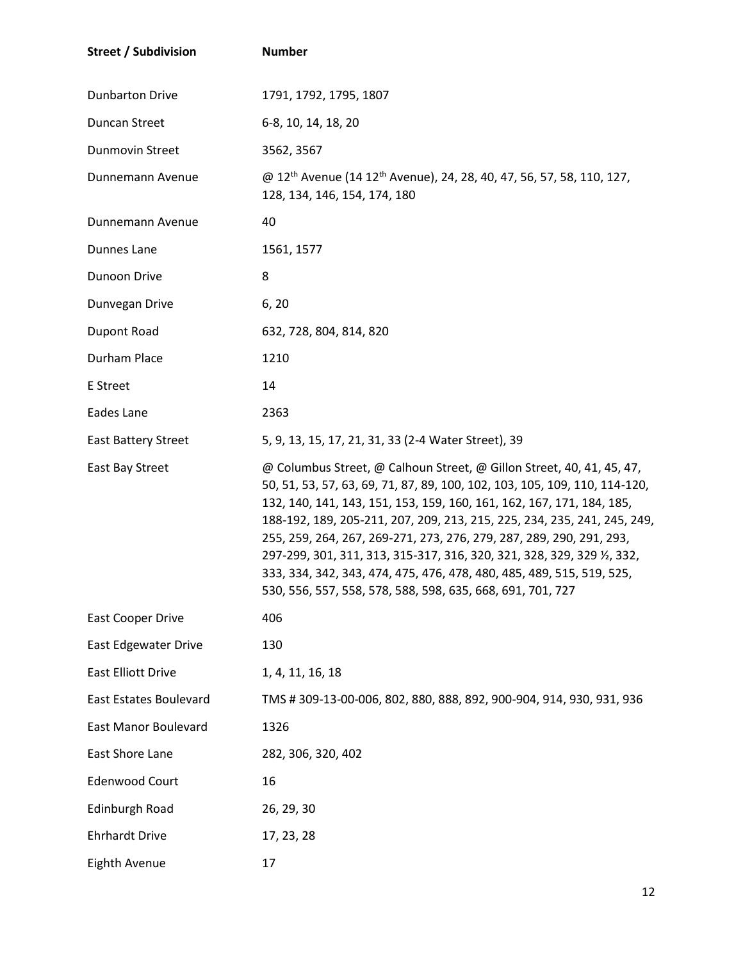| <b>Street / Subdivision</b>   | <b>Number</b>                                                                                                                                                                                                                                                                                                                                                                                                                                                                                                                                                                                      |
|-------------------------------|----------------------------------------------------------------------------------------------------------------------------------------------------------------------------------------------------------------------------------------------------------------------------------------------------------------------------------------------------------------------------------------------------------------------------------------------------------------------------------------------------------------------------------------------------------------------------------------------------|
| <b>Dunbarton Drive</b>        | 1791, 1792, 1795, 1807                                                                                                                                                                                                                                                                                                                                                                                                                                                                                                                                                                             |
| <b>Duncan Street</b>          | 6-8, 10, 14, 18, 20                                                                                                                                                                                                                                                                                                                                                                                                                                                                                                                                                                                |
| <b>Dunmovin Street</b>        | 3562, 3567                                                                                                                                                                                                                                                                                                                                                                                                                                                                                                                                                                                         |
| Dunnemann Avenue              | @ 12 <sup>th</sup> Avenue (14 12 <sup>th</sup> Avenue), 24, 28, 40, 47, 56, 57, 58, 110, 127,<br>128, 134, 146, 154, 174, 180                                                                                                                                                                                                                                                                                                                                                                                                                                                                      |
| Dunnemann Avenue              | 40                                                                                                                                                                                                                                                                                                                                                                                                                                                                                                                                                                                                 |
| Dunnes Lane                   | 1561, 1577                                                                                                                                                                                                                                                                                                                                                                                                                                                                                                                                                                                         |
| Dunoon Drive                  | 8                                                                                                                                                                                                                                                                                                                                                                                                                                                                                                                                                                                                  |
| Dunvegan Drive                | 6, 20                                                                                                                                                                                                                                                                                                                                                                                                                                                                                                                                                                                              |
| Dupont Road                   | 632, 728, 804, 814, 820                                                                                                                                                                                                                                                                                                                                                                                                                                                                                                                                                                            |
| Durham Place                  | 1210                                                                                                                                                                                                                                                                                                                                                                                                                                                                                                                                                                                               |
| E Street                      | 14                                                                                                                                                                                                                                                                                                                                                                                                                                                                                                                                                                                                 |
| Eades Lane                    | 2363                                                                                                                                                                                                                                                                                                                                                                                                                                                                                                                                                                                               |
| <b>East Battery Street</b>    | 5, 9, 13, 15, 17, 21, 31, 33 (2-4 Water Street), 39                                                                                                                                                                                                                                                                                                                                                                                                                                                                                                                                                |
| <b>East Bay Street</b>        | @ Columbus Street, @ Calhoun Street, @ Gillon Street, 40, 41, 45, 47,<br>50, 51, 53, 57, 63, 69, 71, 87, 89, 100, 102, 103, 105, 109, 110, 114-120,<br>132, 140, 141, 143, 151, 153, 159, 160, 161, 162, 167, 171, 184, 185,<br>188-192, 189, 205-211, 207, 209, 213, 215, 225, 234, 235, 241, 245, 249,<br>255, 259, 264, 267, 269-271, 273, 276, 279, 287, 289, 290, 291, 293,<br>297-299, 301, 311, 313, 315-317, 316, 320, 321, 328, 329, 329 1/2, 332,<br>333, 334, 342, 343, 474, 475, 476, 478, 480, 485, 489, 515, 519, 525,<br>530, 556, 557, 558, 578, 588, 598, 635, 668, 691, 701, 727 |
| East Cooper Drive             | 406                                                                                                                                                                                                                                                                                                                                                                                                                                                                                                                                                                                                |
| <b>East Edgewater Drive</b>   | 130                                                                                                                                                                                                                                                                                                                                                                                                                                                                                                                                                                                                |
| <b>East Elliott Drive</b>     | 1, 4, 11, 16, 18                                                                                                                                                                                                                                                                                                                                                                                                                                                                                                                                                                                   |
| <b>East Estates Boulevard</b> | TMS # 309-13-00-006, 802, 880, 888, 892, 900-904, 914, 930, 931, 936                                                                                                                                                                                                                                                                                                                                                                                                                                                                                                                               |
| East Manor Boulevard          | 1326                                                                                                                                                                                                                                                                                                                                                                                                                                                                                                                                                                                               |
| East Shore Lane               | 282, 306, 320, 402                                                                                                                                                                                                                                                                                                                                                                                                                                                                                                                                                                                 |
| <b>Edenwood Court</b>         | 16                                                                                                                                                                                                                                                                                                                                                                                                                                                                                                                                                                                                 |
| Edinburgh Road                | 26, 29, 30                                                                                                                                                                                                                                                                                                                                                                                                                                                                                                                                                                                         |
| <b>Ehrhardt Drive</b>         | 17, 23, 28                                                                                                                                                                                                                                                                                                                                                                                                                                                                                                                                                                                         |
| Eighth Avenue                 | 17                                                                                                                                                                                                                                                                                                                                                                                                                                                                                                                                                                                                 |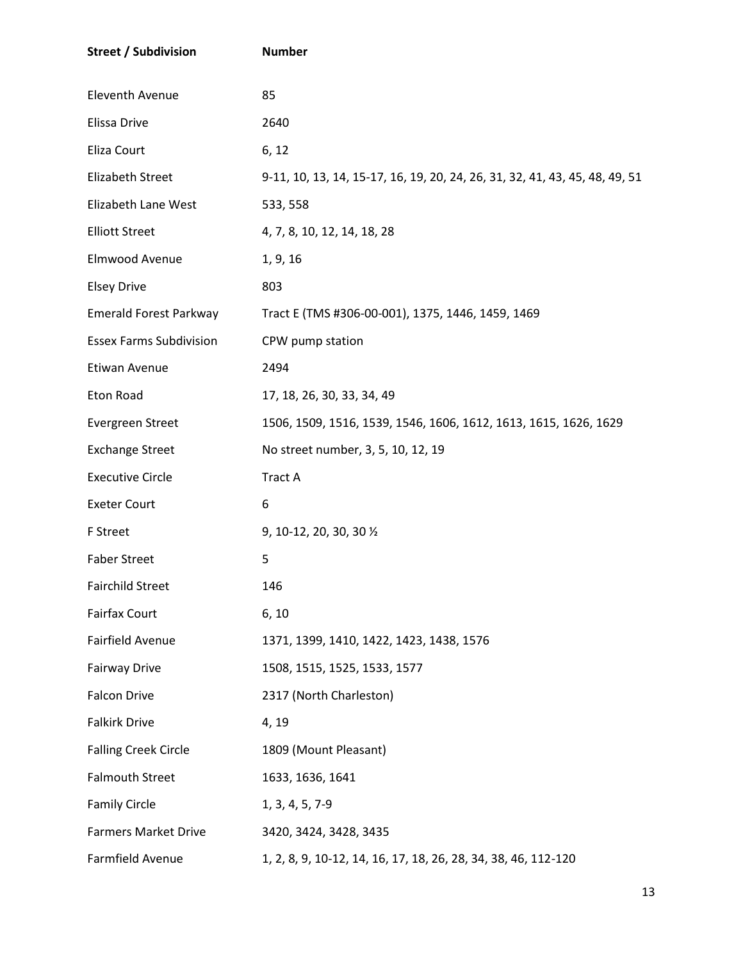| <b>Street / Subdivision</b>    | <b>Number</b>                                                               |
|--------------------------------|-----------------------------------------------------------------------------|
| Eleventh Avenue                | 85                                                                          |
| Elissa Drive                   | 2640                                                                        |
| Eliza Court                    | 6, 12                                                                       |
| Elizabeth Street               | 9-11, 10, 13, 14, 15-17, 16, 19, 20, 24, 26, 31, 32, 41, 43, 45, 48, 49, 51 |
| Elizabeth Lane West            | 533, 558                                                                    |
| <b>Elliott Street</b>          | 4, 7, 8, 10, 12, 14, 18, 28                                                 |
| Elmwood Avenue                 | 1, 9, 16                                                                    |
| <b>Elsey Drive</b>             | 803                                                                         |
| <b>Emerald Forest Parkway</b>  | Tract E (TMS #306-00-001), 1375, 1446, 1459, 1469                           |
| <b>Essex Farms Subdivision</b> | CPW pump station                                                            |
| Etiwan Avenue                  | 2494                                                                        |
| Eton Road                      | 17, 18, 26, 30, 33, 34, 49                                                  |
| Evergreen Street               | 1506, 1509, 1516, 1539, 1546, 1606, 1612, 1613, 1615, 1626, 1629            |
| <b>Exchange Street</b>         | No street number, 3, 5, 10, 12, 19                                          |
| <b>Executive Circle</b>        | <b>Tract A</b>                                                              |
| <b>Exeter Court</b>            | 6                                                                           |
| F Street                       | 9, 10-12, 20, 30, 30 1/2                                                    |
| <b>Faber Street</b>            | 5                                                                           |
| <b>Fairchild Street</b>        | 146                                                                         |
| <b>Fairfax Court</b>           | 6, 10                                                                       |
| Fairfield Avenue               | 1371, 1399, 1410, 1422, 1423, 1438, 1576                                    |
| <b>Fairway Drive</b>           | 1508, 1515, 1525, 1533, 1577                                                |
| <b>Falcon Drive</b>            | 2317 (North Charleston)                                                     |
| <b>Falkirk Drive</b>           | 4, 19                                                                       |
| <b>Falling Creek Circle</b>    | 1809 (Mount Pleasant)                                                       |
| <b>Falmouth Street</b>         | 1633, 1636, 1641                                                            |
| <b>Family Circle</b>           | 1, 3, 4, 5, 7-9                                                             |
| <b>Farmers Market Drive</b>    | 3420, 3424, 3428, 3435                                                      |
| Farmfield Avenue               | 1, 2, 8, 9, 10-12, 14, 16, 17, 18, 26, 28, 34, 38, 46, 112-120              |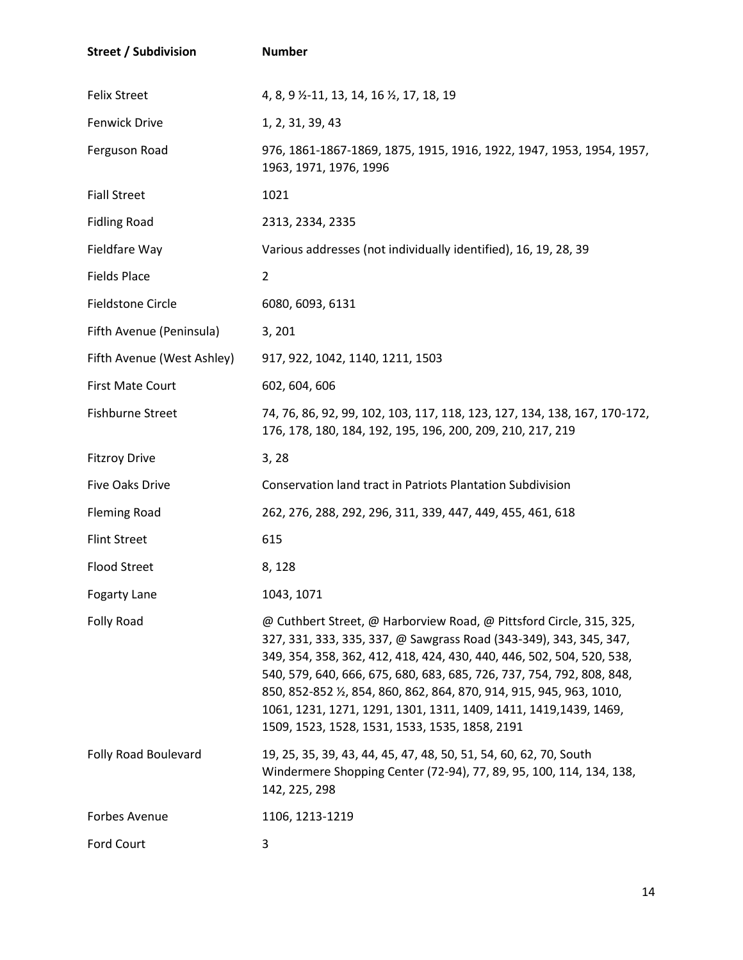| <b>Street / Subdivision</b> | <b>Number</b>                                                                                                                                                                                                                                                                                                                                                                                                                                                                              |
|-----------------------------|--------------------------------------------------------------------------------------------------------------------------------------------------------------------------------------------------------------------------------------------------------------------------------------------------------------------------------------------------------------------------------------------------------------------------------------------------------------------------------------------|
| <b>Felix Street</b>         | 4, 8, 9 $\frac{1}{2}$ -11, 13, 14, 16 $\frac{1}{2}$ , 17, 18, 19                                                                                                                                                                                                                                                                                                                                                                                                                           |
| <b>Fenwick Drive</b>        | 1, 2, 31, 39, 43                                                                                                                                                                                                                                                                                                                                                                                                                                                                           |
| Ferguson Road               | 976, 1861-1867-1869, 1875, 1915, 1916, 1922, 1947, 1953, 1954, 1957,<br>1963, 1971, 1976, 1996                                                                                                                                                                                                                                                                                                                                                                                             |
| <b>Fiall Street</b>         | 1021                                                                                                                                                                                                                                                                                                                                                                                                                                                                                       |
| <b>Fidling Road</b>         | 2313, 2334, 2335                                                                                                                                                                                                                                                                                                                                                                                                                                                                           |
| Fieldfare Way               | Various addresses (not individually identified), 16, 19, 28, 39                                                                                                                                                                                                                                                                                                                                                                                                                            |
| <b>Fields Place</b>         | $\overline{2}$                                                                                                                                                                                                                                                                                                                                                                                                                                                                             |
| <b>Fieldstone Circle</b>    | 6080, 6093, 6131                                                                                                                                                                                                                                                                                                                                                                                                                                                                           |
| Fifth Avenue (Peninsula)    | 3, 201                                                                                                                                                                                                                                                                                                                                                                                                                                                                                     |
| Fifth Avenue (West Ashley)  | 917, 922, 1042, 1140, 1211, 1503                                                                                                                                                                                                                                                                                                                                                                                                                                                           |
| <b>First Mate Court</b>     | 602, 604, 606                                                                                                                                                                                                                                                                                                                                                                                                                                                                              |
| <b>Fishburne Street</b>     | 74, 76, 86, 92, 99, 102, 103, 117, 118, 123, 127, 134, 138, 167, 170-172,<br>176, 178, 180, 184, 192, 195, 196, 200, 209, 210, 217, 219                                                                                                                                                                                                                                                                                                                                                    |
| <b>Fitzroy Drive</b>        | 3,28                                                                                                                                                                                                                                                                                                                                                                                                                                                                                       |
| <b>Five Oaks Drive</b>      | <b>Conservation land tract in Patriots Plantation Subdivision</b>                                                                                                                                                                                                                                                                                                                                                                                                                          |
| <b>Fleming Road</b>         | 262, 276, 288, 292, 296, 311, 339, 447, 449, 455, 461, 618                                                                                                                                                                                                                                                                                                                                                                                                                                 |
| <b>Flint Street</b>         | 615                                                                                                                                                                                                                                                                                                                                                                                                                                                                                        |
| <b>Flood Street</b>         | 8,128                                                                                                                                                                                                                                                                                                                                                                                                                                                                                      |
| <b>Fogarty Lane</b>         | 1043, 1071                                                                                                                                                                                                                                                                                                                                                                                                                                                                                 |
| Folly Road                  | @ Cuthbert Street, @ Harborview Road, @ Pittsford Circle, 315, 325,<br>327, 331, 333, 335, 337, @ Sawgrass Road (343-349), 343, 345, 347,<br>349, 354, 358, 362, 412, 418, 424, 430, 440, 446, 502, 504, 520, 538,<br>540, 579, 640, 666, 675, 680, 683, 685, 726, 737, 754, 792, 808, 848,<br>850, 852-852 1/2, 854, 860, 862, 864, 870, 914, 915, 945, 963, 1010,<br>1061, 1231, 1271, 1291, 1301, 1311, 1409, 1411, 1419, 1439, 1469,<br>1509, 1523, 1528, 1531, 1533, 1535, 1858, 2191 |
| Folly Road Boulevard        | 19, 25, 35, 39, 43, 44, 45, 47, 48, 50, 51, 54, 60, 62, 70, South<br>Windermere Shopping Center (72-94), 77, 89, 95, 100, 114, 134, 138,<br>142, 225, 298                                                                                                                                                                                                                                                                                                                                  |
| Forbes Avenue               | 1106, 1213-1219                                                                                                                                                                                                                                                                                                                                                                                                                                                                            |
| Ford Court                  | 3                                                                                                                                                                                                                                                                                                                                                                                                                                                                                          |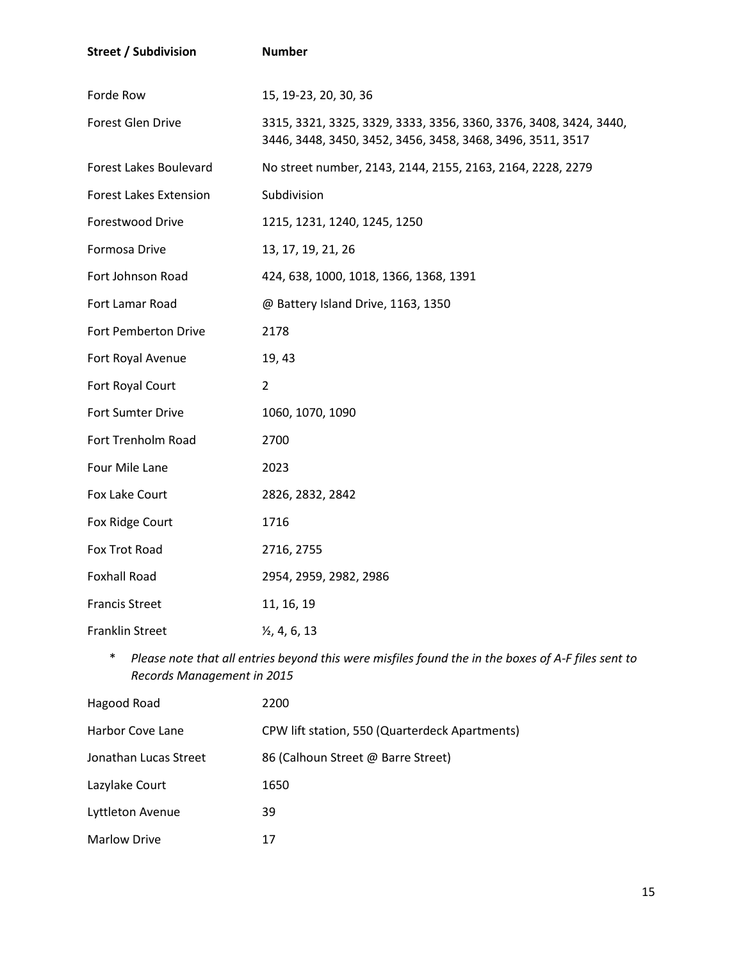| <b>Street / Subdivision</b>   | <b>Number</b>                                                                                                                   |
|-------------------------------|---------------------------------------------------------------------------------------------------------------------------------|
| Forde Row                     | 15, 19-23, 20, 30, 36                                                                                                           |
| <b>Forest Glen Drive</b>      | 3315, 3321, 3325, 3329, 3333, 3356, 3360, 3376, 3408, 3424, 3440,<br>3446, 3448, 3450, 3452, 3456, 3458, 3468, 3496, 3511, 3517 |
| <b>Forest Lakes Boulevard</b> | No street number, 2143, 2144, 2155, 2163, 2164, 2228, 2279                                                                      |
| <b>Forest Lakes Extension</b> | Subdivision                                                                                                                     |
| Forestwood Drive              | 1215, 1231, 1240, 1245, 1250                                                                                                    |
| Formosa Drive                 | 13, 17, 19, 21, 26                                                                                                              |
| Fort Johnson Road             | 424, 638, 1000, 1018, 1366, 1368, 1391                                                                                          |
| Fort Lamar Road               | @ Battery Island Drive, 1163, 1350                                                                                              |
| Fort Pemberton Drive          | 2178                                                                                                                            |
| Fort Royal Avenue             | 19, 43                                                                                                                          |
| Fort Royal Court              | 2                                                                                                                               |
| Fort Sumter Drive             | 1060, 1070, 1090                                                                                                                |
| Fort Trenholm Road            | 2700                                                                                                                            |
| Four Mile Lane                | 2023                                                                                                                            |
| Fox Lake Court                | 2826, 2832, 2842                                                                                                                |
| Fox Ridge Court               | 1716                                                                                                                            |
| Fox Trot Road                 | 2716, 2755                                                                                                                      |
| <b>Foxhall Road</b>           | 2954, 2959, 2982, 2986                                                                                                          |
| <b>Francis Street</b>         | 11, 16, 19                                                                                                                      |
| <b>Franklin Street</b>        | $\frac{1}{2}$ , 4, 6, 13                                                                                                        |

\* *Please note that all entries beyond this were misfiles found the in the boxes of A-F files sent to Records Management in 2015*

| Hagood Road           | 2200                                           |
|-----------------------|------------------------------------------------|
| Harbor Cove Lane      | CPW lift station, 550 (Quarterdeck Apartments) |
| Jonathan Lucas Street | 86 (Calhoun Street @ Barre Street)             |
| Lazylake Court        | 1650                                           |
| Lyttleton Avenue      | 39                                             |
| <b>Marlow Drive</b>   | 17                                             |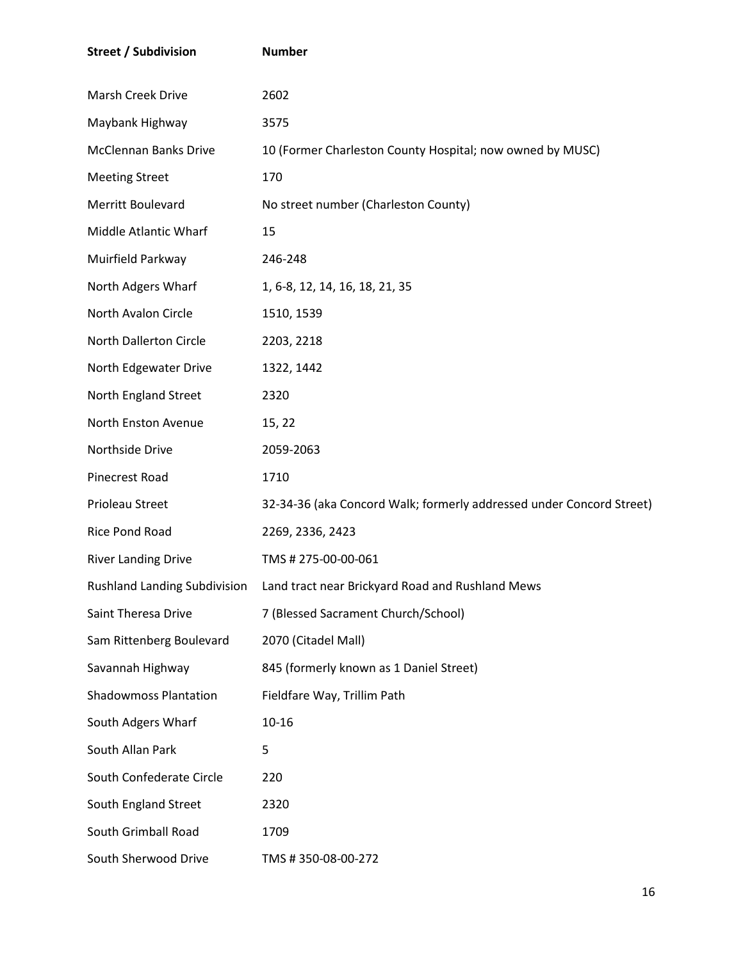| <b>Street / Subdivision</b>  | <b>Number</b>                                                                 |
|------------------------------|-------------------------------------------------------------------------------|
| Marsh Creek Drive            | 2602                                                                          |
| Maybank Highway              | 3575                                                                          |
| <b>McClennan Banks Drive</b> | 10 (Former Charleston County Hospital; now owned by MUSC)                     |
| <b>Meeting Street</b>        | 170                                                                           |
| Merritt Boulevard            | No street number (Charleston County)                                          |
| Middle Atlantic Wharf        | 15                                                                            |
| Muirfield Parkway            | 246-248                                                                       |
| North Adgers Wharf           | 1, 6-8, 12, 14, 16, 18, 21, 35                                                |
| North Avalon Circle          | 1510, 1539                                                                    |
| North Dallerton Circle       | 2203, 2218                                                                    |
| North Edgewater Drive        | 1322, 1442                                                                    |
| North England Street         | 2320                                                                          |
| North Enston Avenue          | 15, 22                                                                        |
| Northside Drive              | 2059-2063                                                                     |
| Pinecrest Road               | 1710                                                                          |
| Prioleau Street              | 32-34-36 (aka Concord Walk; formerly addressed under Concord Street)          |
| Rice Pond Road               | 2269, 2336, 2423                                                              |
| <b>River Landing Drive</b>   | TMS # 275-00-00-061                                                           |
|                              | Rushland Landing Subdivision Land tract near Brickyard Road and Rushland Mews |
| Saint Theresa Drive          | 7 (Blessed Sacrament Church/School)                                           |
| Sam Rittenberg Boulevard     | 2070 (Citadel Mall)                                                           |
| Savannah Highway             | 845 (formerly known as 1 Daniel Street)                                       |
| <b>Shadowmoss Plantation</b> | Fieldfare Way, Trillim Path                                                   |
| South Adgers Wharf           | $10 - 16$                                                                     |
| South Allan Park             | 5                                                                             |
| South Confederate Circle     | 220                                                                           |
| South England Street         | 2320                                                                          |
| South Grimball Road          | 1709                                                                          |
| South Sherwood Drive         | TMS #350-08-00-272                                                            |